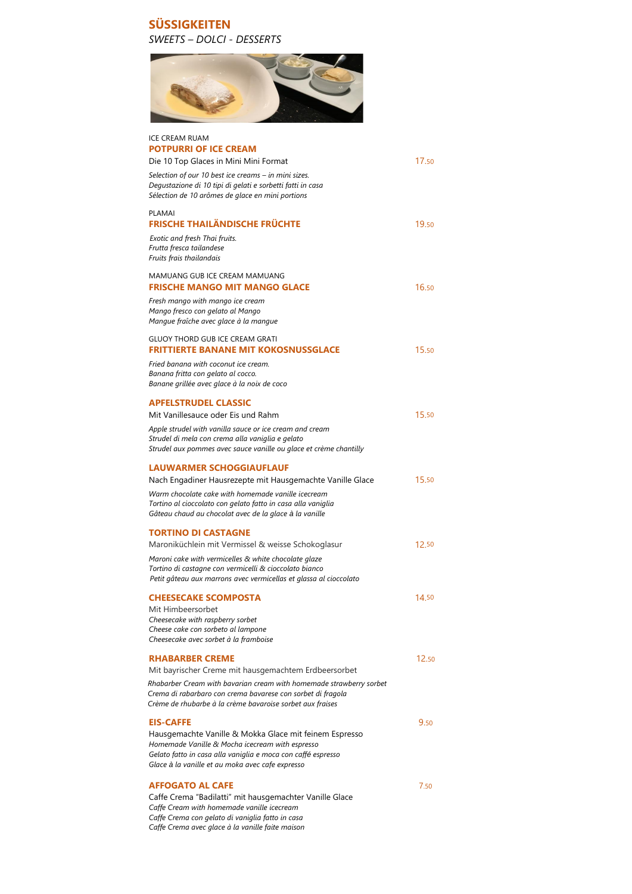## **SÜSSIGKEITEN** *SWEETS – DOLCI - DESSERTS*



| <b>ICE CREAM RUAM</b><br><b>POTPURRI OF ICE CREAM</b>                                                                                                                                                                                     |       |
|-------------------------------------------------------------------------------------------------------------------------------------------------------------------------------------------------------------------------------------------|-------|
| Die 10 Top Glaces in Mini Mini Format<br>Selection of our 10 best ice creams - in mini sizes.<br>Degustazione di 10 tipi di gelati e sorbetti fatti in casa<br>Sélection de 10 arômes de glace en mini portions                           | 17.50 |
| PLAMAI<br><b>FRISCHE THAILÄNDISCHE FRÜCHTE</b>                                                                                                                                                                                            | 19.50 |
| Exotic and fresh Thai fruits.<br>Frutta fresca tailandese<br>Fruits frais thailandais                                                                                                                                                     |       |
| MAMUANG GUB ICE CREAM MAMUANG<br><b>FRISCHE MANGO MIT MANGO GLACE</b>                                                                                                                                                                     | 16.50 |
| Fresh mango with mango ice cream<br>Mango fresco con gelato al Mango<br>Mangue fraîche avec glace à la mangue                                                                                                                             |       |
| <b>GLUOY THORD GUB ICE CREAM GRATI</b><br><b>FRITTIERTE BANANE MIT KOKOSNUSSGLACE</b>                                                                                                                                                     | 15.50 |
| Fried banana with coconut ice cream.<br>Banana fritta con gelato al cocco.<br>Banane grillée avec glace à la noix de coco                                                                                                                 |       |
| <b>APFELSTRUDEL CLASSIC</b><br>Mit Vanillesauce oder Eis und Rahm                                                                                                                                                                         | 15.50 |
| Apple strudel with vanilla sauce or ice cream and cream<br>Strudel di mela con crema alla vaniglia e gelato<br>Strudel aux pommes avec sauce vanille ou glace et crème chantilly                                                          |       |
| <b>LAUWARMER SCHOGGIAUFLAUF</b>                                                                                                                                                                                                           | 15.50 |
| Nach Engadiner Hausrezepte mit Hausgemachte Vanille Glace<br>Warm chocolate cake with homemade vanille icecream<br>Tortino al cioccolato con gelato fatto in casa alla vaniglia<br>Gâteau chaud au chocolat avec de la glace à la vanille |       |
| <b>TORTINO DI CASTAGNE</b><br>Maroniküchlein mit Vermissel & weisse Schokoglasur                                                                                                                                                          | 12.50 |
| Maroni cake with vermicelles & white chocolate glaze<br>Tortino di castagne con vermicelli & cioccolato bianco<br>Petit gâteau aux marrons avec vermicellas et glassa al cioccolato                                                       |       |
| <b>CHEESECAKE SCOMPOSTA</b><br>Mit Himbeersorbet<br>Cheesecake with raspberry sorbet<br>Cheese cake con sorbeto al lampone<br>Cheesecake avec sorbet à la framboise                                                                       | 14.50 |

| <b>RHABARBER CREME</b> |  |  |  |  |  |  | 12.50 |
|------------------------|--|--|--|--|--|--|-------|
| .  .                   |  |  |  |  |  |  |       |

Mit bayrischer Creme mit hausgemachtem Erdbeersorbet

 *Rhabarber Cream with bavarian cream with homemade strawberry sorbet Crema di rabarbaro con crema bavarese con sorbet di fragola Crème de rhubarbe à la crème bavaroise sorbet aux fraises*

#### **EIS-CAFFE** 9.50

Hausgemachte Vanille & Mokka Glace mit feinem Espresso *Homemade Vanille & Mocha icecream with espresso Gelato fatto in casa alla vaniglia e moca con caffé espresso Glace à la vanille et au moka avec cafe expresso*

#### **AFFOGATO AL CAFE** 7.50

Caffe Crema "Badilatti" mit hausgemachter Vanille Glace *Caffe Cream with homemade vanille icecream Caffe Crema con gelato di vaniglia fatto in casa Caffe Crema avec glace à la vanille faite maison*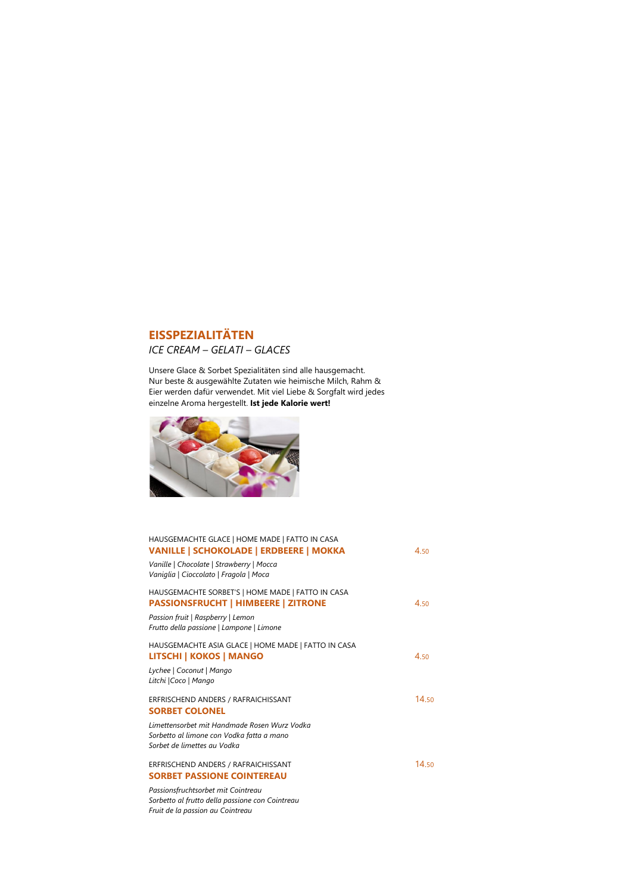# **EISSPEZIALITÄTEN** *ICE CREAM – GELATI – GLACES*

Unsere Glace & Sorbet Spezialitäten sind alle hausgemacht. Nur beste & ausgewählte Zutaten wie heimische Milch, Rahm & Eier werden dafür verwendet. Mit viel Liebe & Sorgfalt wird jedes einzelne Aroma hergestellt. **Ist jede Kalorie wert!**



## ERFRISCHEND ANDERS / RAFRAICHISSANT 14.50 **SORBET COLONEL**

| HAUSGEMACHTE GLACE   HOME MADE   FATTO IN CASA<br>VANILLE   SCHOKOLADE   ERDBEERE   MOKKA       | 4.50 |
|-------------------------------------------------------------------------------------------------|------|
| Vanille   Chocolate   Strawberry   Mocca<br>Vaniglia   Cioccolato   Fragola   Moca              |      |
| HAUSGEMACHTE SORBET'S   HOME MADE   FATTO IN CASA<br><b>PASSIONSFRUCHT   HIMBEERE   ZITRONE</b> | 4.50 |
| Passion fruit   Raspberry   Lemon<br>Frutto della passione   Lampone   Limone                   |      |
| HAUSGEMACHTE ASIA GLACE   HOME MADE   FATTO IN CASA<br><b>LITSCHI   KOKOS   MANGO</b>           | 4.50 |

## ERFRISCHEND ANDERS / RAFRAICHISSANT 14.50 **SORBET PASSIONE COINTEREAU**

*Lychee | Coconut | Mango* 

#### *Litchi |Coco | Mango*

*Limettensorbet mit Handmade Rosen Wurz Vodka Sorbetto al limone con Vodka fatta a mano Sorbet de limettes au Vodka*

*Passionsfruchtsorbet mit Cointreau Sorbetto al frutto della passione con Cointreau Fruit de la passion au Cointreau*